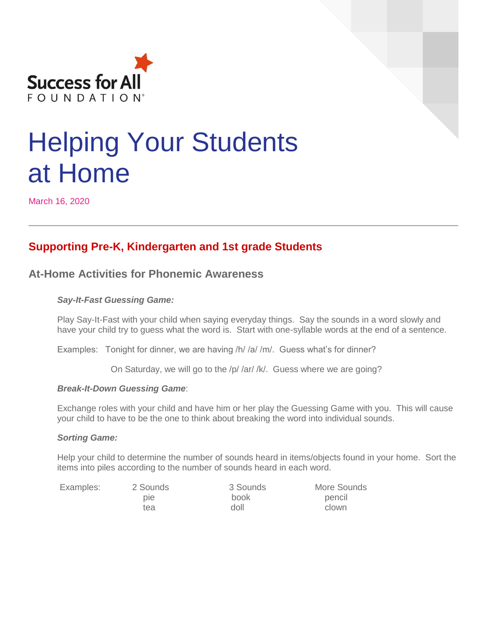

# Helping Your Students at Home

March 16, 2020

# **Supporting Pre-K, Kindergarten and 1st grade Students**

# **At-Home Activities for Phonemic Awareness**

#### *Say-It-Fast Guessing Game:*

Play Say-It-Fast with your child when saying everyday things. Say the sounds in a word slowly and have your child try to guess what the word is. Start with one-syllable words at the end of a sentence.

Examples: Tonight for dinner, we are having /h/ /a/ /m/. Guess what's for dinner?

On Saturday, we will go to the /p/ /ar/ /k/. Guess where we are going?

#### *Break-It-Down Guessing Game*:

Exchange roles with your child and have him or her play the Guessing Game with you. This will cause your child to have to be the one to think about breaking the word into individual sounds.

#### *Sorting Game:*

Help your child to determine the number of sounds heard in items/objects found in your home. Sort the items into piles according to the number of sounds heard in each word.

 pie book pencil tea doll do clown

Examples: 2 Sounds 3 Sounds More Sounds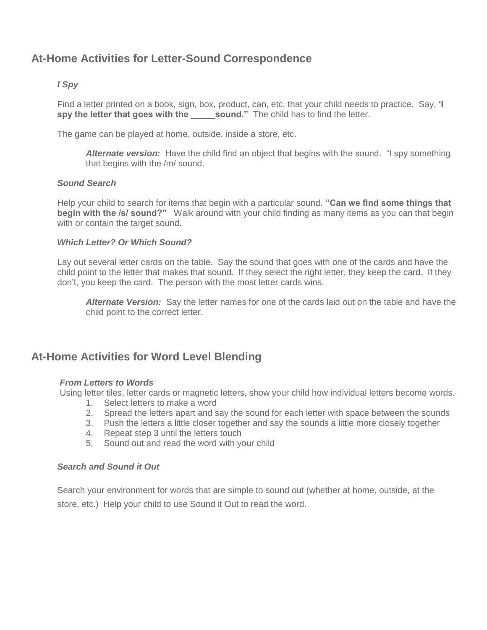# **At-Home Activities for Letter-Sound Correspondence**

#### *I Spy*

Find a letter printed on a book, sign, box, product, can, etc. that your child needs to practice. Say, **'I spy the letter that goes with the sound."** The child has to find the letter.

The game can be played at home, outside, inside a store, etc.

*Alternate version:* Have the child find an object that begins with the sound. "I spy something that begins with the /m/ sound.

#### *Sound Search*

Help your child to search for items that begin with a particular sound. **"Can we find some things that begin with the /s/ sound?"** Walk around with your child finding as many items as you can that begin with or contain the target sound.

#### *Which Letter? Or Which Sound?*

Lay out several letter cards on the table. Say the sound that goes with one of the cards and have the child point to the letter that makes that sound. If they select the right letter, they keep the card. If they don't, you keep the card. The person with the most letter cards wins.

*Alternate Version:* Say the letter names for one of the cards laid out on the table and have the child point to the correct letter.

# **At-Home Activities for Word Level Blending**

#### *From Letters to Words*

Using letter tiles, letter cards or magnetic letters, show your child how individual letters become words.

- 1. Select letters to make a word
- 2. Spread the letters apart and say the sound for each letter with space between the sounds
- 3. Push the letters a little closer together and say the sounds a little more closely together
- 4. Repeat step 3 until the letters touch
- 5. Sound out and read the word with your child

#### *Search and Sound it Out*

Search your environment for words that are simple to sound out (whether at home, outside, at the store, etc.) Help your child to use Sound it Out to read the word.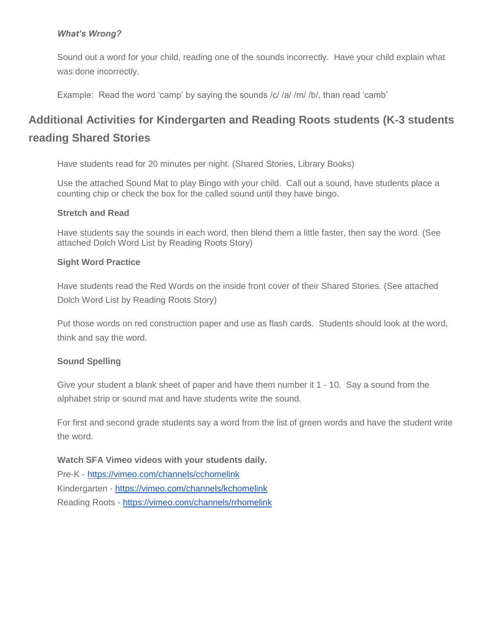## *What's Wrong?*

Sound out a word for your child, reading one of the sounds incorrectly. Have your child explain what was done incorrectly.

Example: Read the word 'camp' by saying the sounds /c/ /a/ /m/ /b/, than read 'camb'

# **Additional Activities for Kindergarten and Reading Roots students (K-3 students reading Shared Stories**

Have students read for 20 minutes per night. (Shared Stories, Library Books)

Use the attached Sound Mat to play Bingo with your child. Call out a sound, have students place a counting chip or check the box for the called sound until they have bingo.

#### **Stretch and Read**

Have students say the sounds in each word, then blend them a little faster, then say the word. (See attached Dolch Word List by Reading Roots Story)

#### **Sight Word Practice**

Have students read the Red Words on the inside front cover of their Shared Stories. (See attached Dolch Word List by Reading Roots Story)

Put those words on red construction paper and use as flash cards. Students should look at the word, think and say the word.

## **Sound Spelling**

Give your student a blank sheet of paper and have them number it 1 - 10. Say a sound from the alphabet strip or sound mat and have students write the sound.

For first and second grade students say a word from the list of green words and have the student write the word.

**Watch SFA Vimeo videos with your students daily.** Pre-K - [https://vimeo.com/channels/cchomelink](https://vimeo.com/channels/rrhomelink) Kindergarten - [https://vimeo.com/channels/kchomelink](https://vimeo.com/channels/rrhomelink) Reading Roots - <https://vimeo.com/channels/rrhomelink>